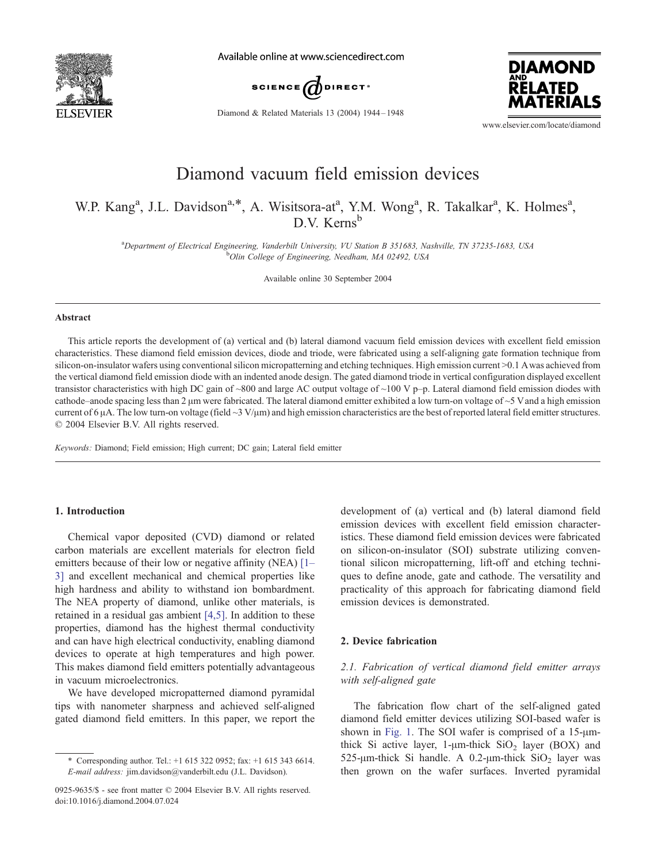

Available online at www.sciencedirect.com



Diamond & Related Materials 13 (2004) 1944 – 1948



www.elsevier.com/locate/diamond

# Diamond vacuum field emission devices

# W.P. Kang<sup>a</sup>, J.L. Davidson<sup>a,\*</sup>, A. Wisitsora-at<sup>a</sup>, Y.M. Wong<sup>a</sup>, R. Takalkar<sup>a</sup>, K. Holmes<sup>a</sup>,  $D.V.$  Kerns<sup>b</sup>

<sup>a</sup>Department of Electrical Engineering, Vanderbilt University, VU Station B 351683, Nashville, TN 37235-1683, USA<br><sup>b</sup>Olin Collage of Engineering, Naedham, MA 02402, USA <sup>b</sup>Olin College of Engineering, Needham, MA 02492, USA

Available online 30 September 2004

#### Abstract

This article reports the development of (a) vertical and (b) lateral diamond vacuum field emission devices with excellent field emission characteristics. These diamond field emission devices, diode and triode, were fabricated using a self-aligning gate formation technique from silicon-on-insulator wafers using conventional silicon micropatterning and etching techniques. High emission current  $>0.1$  Awas achieved from the vertical diamond field emission diode with an indented anode design. The gated diamond triode in vertical configuration displayed excellent transistor characteristics with high DC gain of ~800 and large AC output voltage of ~100 V p–p. Lateral diamond field emission diodes with cathode–anode spacing less than 2  $\mu$ m were fabricated. The lateral diamond emitter exhibited a low turn-on voltage of ~5 V and a high emission current of 6  $\mu$ A. The low turn-on voltage (field  $\sim$ 3 V/ $\mu$ m) and high emission characteristics are the best of reported lateral field emitter structures.  $\odot$  2004 Elsevier B.V. All rights reserved.

Keywords: Diamond; Field emission; High current; DC gain; Lateral field emitter

## 1. Introduction

Chemical vapor deposited (CVD) diamond or related carbon materials are excellent materials for electron field emitters because of their low or negative affinity (NEA) [\[1–](#page-4-0) 3] and excellent mechanical and chemical properties like high hardness and ability to withstand ion bombardment. The NEA property of diamond, unlike other materials, is retained in a residual gas ambient [\[4,5\].](#page-4-0) In addition to these properties, diamond has the highest thermal conductivity and can have high electrical conductivity, enabling diamond devices to operate at high temperatures and high power. This makes diamond field emitters potentially advantageous in vacuum microelectronics.

We have developed micropatterned diamond pyramidal tips with nanometer sharpness and achieved self-aligned gated diamond field emitters. In this paper, we report the development of (a) vertical and (b) lateral diamond field emission devices with excellent field emission characteristics. These diamond field emission devices were fabricated on silicon-on-insulator (SOI) substrate utilizing conventional silicon micropatterning, lift-off and etching techniques to define anode, gate and cathode. The versatility and practicality of this approach for fabricating diamond field emission devices is demonstrated.

# 2. Device fabrication

# 2.1. Fabrication of vertical diamond field emitter arrays with self-aligned gate

The fabrication flow chart of the self-aligned gated diamond field emitter devices utilizing SOI-based wafer is shown in [Fig. 1.](#page-1-0) The SOI wafer is comprised of a  $15$ - $\mu$ mthick Si active layer,  $1$ - $\mu$ m-thick SiO<sub>2</sub> layer (BOX) and 525- $\mu$ m-thick Si handle. A 0.2- $\mu$ m-thick SiO<sub>2</sub> layer was then grown on the wafer surfaces. Inverted pyramidal

<sup>\*</sup> Corresponding author. Tel.: +1 615 322 0952; fax: +1 615 343 6614. E-mail address: jim.davidson@vanderbilt.edu (J.L. Davidson).

<sup>0925-9635/\$ -</sup> see front matter © 2004 Elsevier B.V. All rights reserved. doi:10.1016/j.diamond.2004.07.024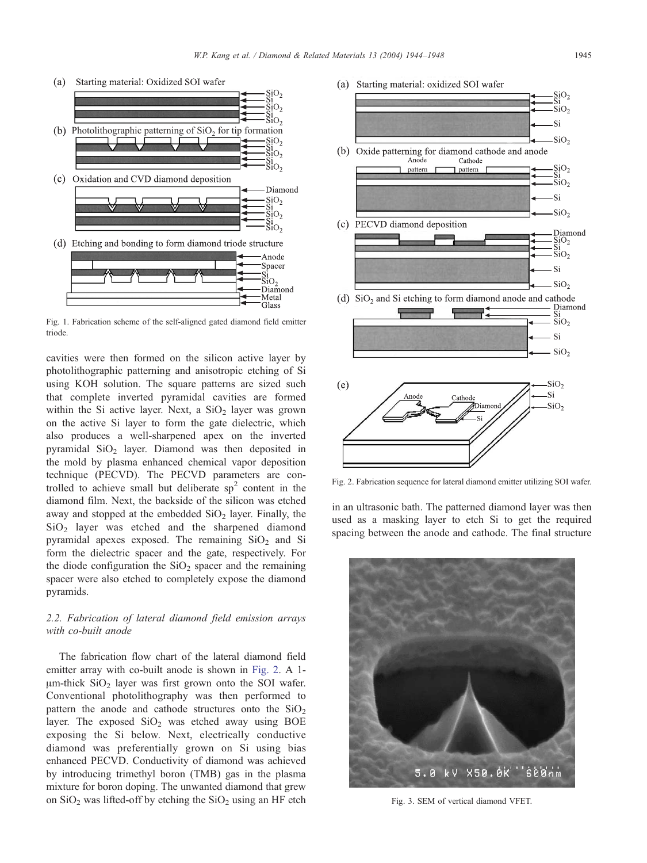<span id="page-1-0"></span>

Fig. 1. Fabrication scheme of the self-aligned gated diamond field emitter triode.

cavities were then formed on the silicon active layer by photolithographic patterning and anisotropic etching of Si using KOH solution. The square patterns are sized such that complete inverted pyramidal cavities are formed within the Si active layer. Next, a  $SiO<sub>2</sub>$  layer was grown on the active Si layer to form the gate dielectric, which also produces a well-sharpened apex on the inverted pyramidal  $SiO<sub>2</sub>$  layer. Diamond was then deposited in the mold by plasma enhanced chemical vapor deposition technique (PECVD). The PECVD parameters are controlled to achieve small but deliberate  $sp<sup>2</sup>$  content in the diamond film. Next, the backside of the silicon was etched away and stopped at the embedded  $SiO<sub>2</sub>$  layer. Finally, the SiO2 layer was etched and the sharpened diamond pyramidal apexes exposed. The remaining  $SiO<sub>2</sub>$  and Si form the dielectric spacer and the gate, respectively. For the diode configuration the  $SiO<sub>2</sub>$  spacer and the remaining spacer were also etched to completely expose the diamond pyramids.

# 2.2. Fabrication of lateral diamond field emission arrays with co-built anode

The fabrication flow chart of the lateral diamond field emitter array with co-built anode is shown in Fig. 2. A 1-  $\mu$ m-thick SiO<sub>2</sub> layer was first grown onto the SOI wafer. Conventional photolithography was then performed to pattern the anode and cathode structures onto the  $SiO<sub>2</sub>$ layer. The exposed  $SiO<sub>2</sub>$  was etched away using BOE exposing the Si below. Next, electrically conductive diamond was preferentially grown on Si using bias enhanced PECVD. Conductivity of diamond was achieved by introducing trimethyl boron (TMB) gas in the plasma mixture for boron doping. The unwanted diamond that grew on  $SiO<sub>2</sub>$  was lifted-off by etching the  $SiO<sub>2</sub>$  using an HF etch





Fig. 2. Fabrication sequence for lateral diamond emitter utilizing SOI wafer.

in an ultrasonic bath. The patterned diamond layer was then used as a masking layer to etch Si to get the required spacing between the anode and cathode. The final structure



Fig. 3. SEM of vertical diamond VFET.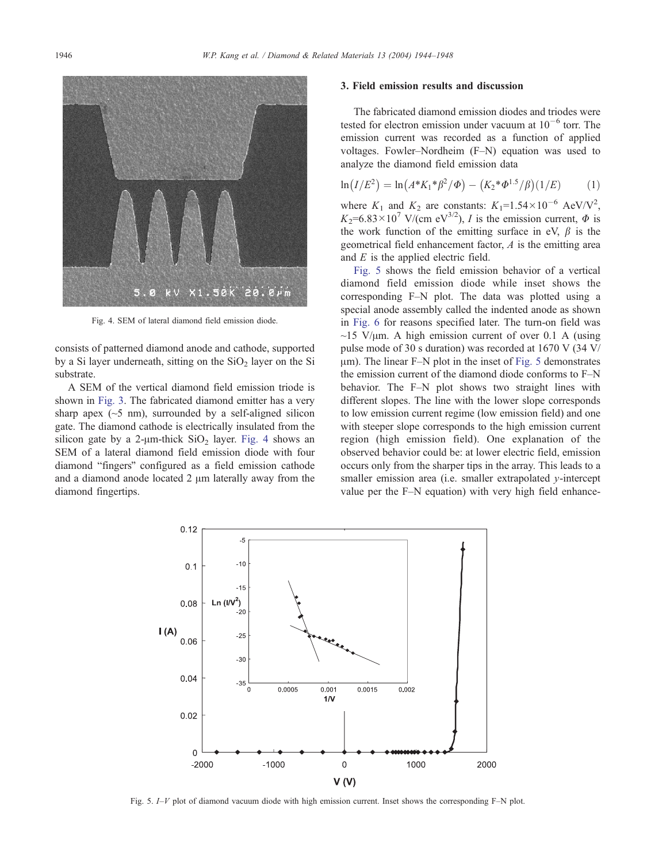

Fig. 4. SEM of lateral diamond field emission diode.

consists of patterned diamond anode and cathode, supported by a Si layer underneath, sitting on the  $SiO<sub>2</sub>$  layer on the Si substrate.

A SEM of the vertical diamond field emission triode is shown in [Fig. 3](#page-1-0). The fabricated diamond emitter has a very sharp apex  $(\sim 5 \text{ nm})$ , surrounded by a self-aligned silicon gate. The diamond cathode is electrically insulated from the silicon gate by a 2- $\mu$ m-thick SiO<sub>2</sub> layer. Fig. 4 shows an SEM of a lateral diamond field emission diode with four diamond "fingers" configured as a field emission cathode and a diamond anode located  $2 \mu m$  laterally away from the diamond fingertips.

#### 3. Field emission results and discussion

The fabricated diamond emission diodes and triodes were tested for electron emission under vacuum at  $10^{-6}$  torr. The emission current was recorded as a function of applied voltages. Fowler–Nordheim (F–N) equation was used to analyze the diamond field emission data

$$
\ln(I/E^2) = \ln(A^*K_1^*\beta^2/\Phi) - (K_2^*\Phi^{1.5}/\beta)(1/E) \tag{1}
$$

where  $K_1$  and  $K_2$  are constants:  $K_1=1.54\times10^{-6}$  AeV/V<sup>2</sup>,  $K_2=6.83\times10^7$  V/(cm eV<sup>3/2</sup>), *I* is the emission current,  $\Phi$  is the work function of the emitting surface in eV,  $\beta$  is the geometrical field enhancement factor, A is the emitting area and  $E$  is the applied electric field.

Fig. 5 shows the field emission behavior of a vertical diamond field emission diode while inset shows the corresponding F–N plot. The data was plotted using a special anode assembly called the indented anode as shown in [Fig. 6](#page-3-0) for reasons specified later. The turn-on field was  $\sim$ 15 V/ $\mu$ m. A high emission current of over 0.1 A (using pulse mode of 30 s duration) was recorded at 1670 V (34 V/  $\mu$ m). The linear F–N plot in the inset of Fig. 5 demonstrates the emission current of the diamond diode conforms to F–N behavior. The F–N plot shows two straight lines with different slopes. The line with the lower slope corresponds to low emission current regime (low emission field) and one with steeper slope corresponds to the high emission current region (high emission field). One explanation of the observed behavior could be: at lower electric field, emission occurs only from the sharper tips in the array. This leads to a smaller emission area (i.e. smaller extrapolated  $\nu$ -intercept value per the F–N equation) with very high field enhance-



Fig. 5. I–V plot of diamond vacuum diode with high emission current. Inset shows the corresponding F–N plot.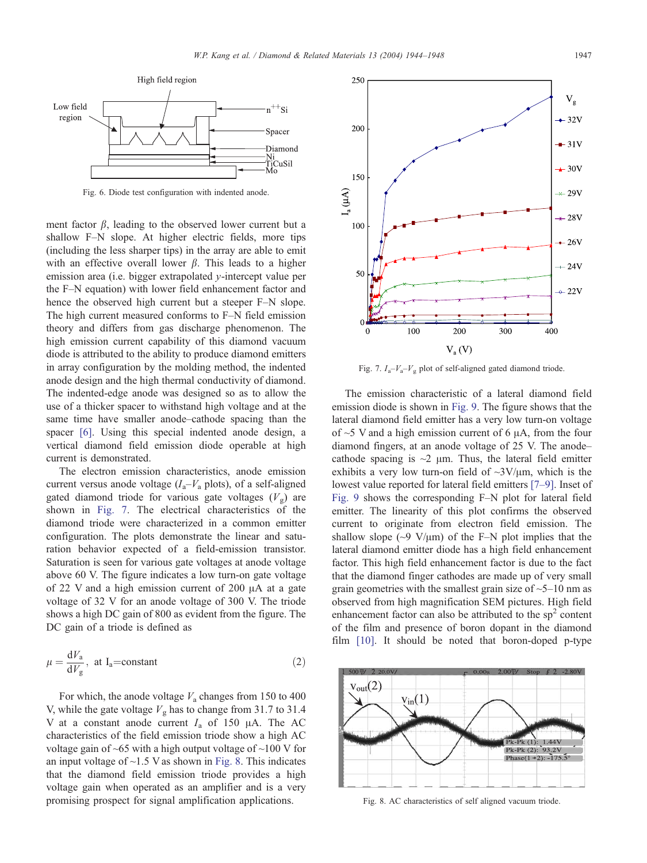<span id="page-3-0"></span>

Fig. 6. Diode test configuration with indented anode.

ment factor  $\beta$ , leading to the observed lower current but a shallow F–N slope. At higher electric fields, more tips (including the less sharper tips) in the array are able to emit with an effective overall lower  $\beta$ . This leads to a higher emission area (i.e. bigger extrapolated y-intercept value per the F–N equation) with lower field enhancement factor and hence the observed high current but a steeper F–N slope. The high current measured conforms to F–N field emission theory and differs from gas discharge phenomenon. The high emission current capability of this diamond vacuum diode is attributed to the ability to produce diamond emitters in array configuration by the molding method, the indented anode design and the high thermal conductivity of diamond. The indented-edge anode was designed so as to allow the use of a thicker spacer to withstand high voltage and at the same time have smaller anode–cathode spacing than the spacer [\[6\].](#page-4-0) Using this special indented anode design, a vertical diamond field emission diode operable at high current is demonstrated.

The electron emission characteristics, anode emission current versus anode voltage  $(I_a-V_a$  plots), of a self-aligned gated diamond triode for various gate voltages  $(V_{\alpha})$  are shown in Fig. 7. The electrical characteristics of the diamond triode were characterized in a common emitter configuration. The plots demonstrate the linear and saturation behavior expected of a field-emission transistor. Saturation is seen for various gate voltages at anode voltage above 60 V. The figure indicates a low turn-on gate voltage of 22 V and a high emission current of 200  $\mu$ A at a gate voltage of 32 V for an anode voltage of 300 V. The triode shows a high DC gain of 800 as evident from the figure. The DC gain of a triode is defined as

$$
\mu = \frac{dV_a}{dV_g}, \text{ at } I_a = \text{constant}
$$
 (2)

For which, the anode voltage  $V_a$  changes from 150 to 400 V, while the gate voltage  $V_g$  has to change from 31.7 to 31.4 V at a constant anode current  $I_a$  of 150  $\mu$ A. The AC characteristics of the field emission triode show a high AC voltage gain of  $\sim 65$  with a high output voltage of  $\sim 100$  V for an input voltage of  $\sim$ 1.5 V as shown in Fig. 8. This indicates that the diamond field emission triode provides a high voltage gain when operated as an amplifier and is a very promising prospect for signal amplification applications.



Fig. 7.  $I_a - V_a - V_g$  plot of self-aligned gated diamond triode.

The emission characteristic of a lateral diamond field emission diode is shown in [Fig. 9.](#page-4-0) The figure shows that the lateral diamond field emitter has a very low turn-on voltage of  $\sim$ 5 V and a high emission current of 6  $\mu$ A, from the four diamond fingers, at an anode voltage of 25 V. The anode– cathode spacing is  $\sim$ 2  $\mu$ m. Thus, the lateral field emitter exhibits a very low turn-on field of  $\sim 3V/\mu m$ , which is the lowest value reported for lateral field emitters [\[7–9\].](#page-4-0) Inset of [Fig. 9](#page-4-0) shows the corresponding F–N plot for lateral field emitter. The linearity of this plot confirms the observed current to originate from electron field emission. The shallow slope ( $\sim$ 9 V/ $\mu$ m) of the F–N plot implies that the lateral diamond emitter diode has a high field enhancement factor. This high field enhancement factor is due to the fact that the diamond finger cathodes are made up of very small grain geometries with the smallest grain size of  $\sim$ 5–10 nm as observed from high magnification SEM pictures. High field enhancement factor can also be attributed to the  $sp<sup>2</sup>$  content of the film and presence of boron dopant in the diamond film [\[10\].](#page-4-0) It should be noted that boron-doped p-type



Fig. 8. AC characteristics of self aligned vacuum triode.